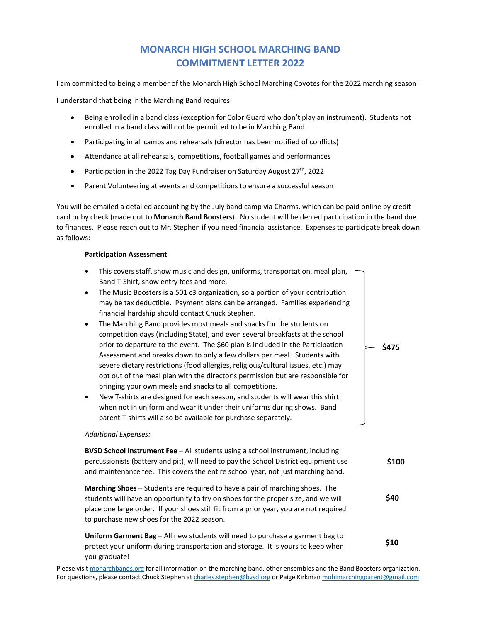## **MONARCH HIGH SCHOOL MARCHING BAND COMMITMENT LETTER 2022**

I am committed to being a member of the Monarch High School Marching Coyotes for the 2022 marching season!

I understand that being in the Marching Band requires:

- Being enrolled in a band class (exception for Color Guard who don't play an instrument). Students not enrolled in a band class will not be permitted to be in Marching Band.
- Participating in all camps and rehearsals (director has been notified of conflicts)
- Attendance at all rehearsals, competitions, football games and performances
- Participation in the 2022 Tag Day Fundraiser on Saturday August  $27<sup>th</sup>$ , 2022
- Parent Volunteering at events and competitions to ensure a successful season

You will be emailed a detailed accounting by the July band camp via Charms, which can be paid online by credit card or by check (made out to **Monarch Band Boosters**). No student will be denied participation in the band due to finances. Please reach out to Mr. Stephen if you need financial assistance. Expenses to participate break down as follows:

## **Participation Assessment**

- This covers staff, show music and design, uniforms, transportation, meal plan, Band T-Shirt, show entry fees and more.
- The Music Boosters is a 501 c3 organization, so a portion of your contribution may be tax deductible. Payment plans can be arranged. Families experiencing financial hardship should contact Chuck Stephen.
- The Marching Band provides most meals and snacks for the students on competition days (including State), and even several breakfasts at the school prior to departure to the event. The \$60 plan is included in the Participation Assessment and breaks down to only a few dollars per meal. Students with severe dietary restrictions (food allergies, religious/cultural issues, etc.) may opt out of the meal plan with the director's permission but are responsible for bringing your own meals and snacks to all competitions.
- New T-shirts are designed for each season, and students will wear this shirt when not in uniform and wear it under their uniforms during shows. Band parent T-shirts will also be available for purchase separately.

## *Additional Expenses:*

**BVSD School Instrument Fee** – All students using a school instrument, including percussionists (battery and pit), will need to pay the School District equipment use and maintenance fee. This covers the entire school year, not just marching band. **\$100**

**\$475**

**Marching Shoes** – Students are required to have a pair of marching shoes. The students will have an opportunity to try on shoes for the proper size, and we will place one large order. If your shoes still fit from a prior year, you are not required to purchase new shoes for the 2022 season. **\$40**

**Uniform Garment Bag** – All new students will need to purchase a garment bag to protect your uniform during transportation and storage. It is yours to keep when you graduate! **\$10**

Please visit monarchbands.org for all information on the marching band, other ensembles and the Band Boosters organization. For questions, please contact Chuck Stephen at charles.stephen@bvsd.org or Paige Kirkman mohimarchingparent@gmail.com